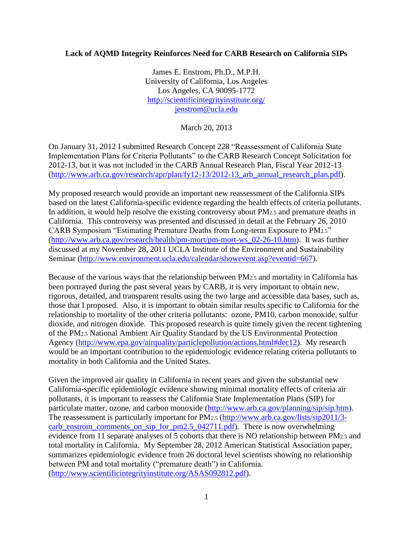## **Lack of AQMD Integrity Reinforces Need for CARB Research on California SIPs**

James E. Enstrom, Ph.D., M.P.H. University of California, Los Angeles Los Angeles, CA 90095-1772 <http://scientificintegrityinstitute.org/> [jenstrom@ucla.edu](mailto:jenstrom@ucla.edu)

March 20, 2013

On January 31, 2012 I submitted Research Concept 228 "Reassessment of California State Implementation Plans for Criteria Pollutants" to the CARB Research Concept Solicitation for 2012-13, but it was not included in the CARB Annual Research Plan, Fiscal Year 2012-13 [\(http://www.arb.ca.gov/research/apr/plan/fy12-13/2012-13\\_arb\\_annual\\_research\\_plan.pdf\)](http://www.arb.ca.gov/research/apr/plan/fy12-13/2012-13_arb_annual_research_plan.pdf).

My proposed research would provide an important new reassessment of the California SIPs based on the latest California-specific evidence regarding the health effects of criteria pollutants. In addition, it would help resolve the existing controversy about PM2.5 and premature deaths in California. This controversy was presented and discussed in detail at the February 26, 2010 CARB Symposium "Estimating Premature Deaths from Long-term Exposure to PM2.5" [\(http://www.arb.ca.gov/research/health/pm-mort/pm-mort-ws\\_02-26-10.htm\)](http://www.arb.ca.gov/research/health/pm-mort/pm-mort-ws_02-26-10.htm). It was further discussed at my November 28, 2011 UCLA Institute of the Environment and Sustainability Seminar [\(http://www.environment.ucla.edu/calendar/showevent.asp?eventid=667\)](http://www.environment.ucla.edu/calendar/showevent.asp?eventid=667).

Because of the various ways that the relationship between PM2.5 and mortality in California has been portrayed during the past several years by CARB, it is very important to obtain new, rigorous, detailed, and transparent results using the two large and accessible data bases, such as, those that I proposed. Also, it is important to obtain similar results specific to California for the relationship to mortality of the other criteria pollutants: ozone, PM10, carbon monoxide, sulfur dioxide, and nitrogen dioxide. This proposed research is quite timely given the recent tightening of the PM2.5 National Ambient Air Quality Standard by the US Environmental Protection Agency [\(http://www.epa.gov/airquality/particlepollution/actions.html#dec12\)](http://www.epa.gov/airquality/particlepollution/actions.html#dec12). My research would be an important contribution to the epidemiologic evidence relating criteria pollutants to mortality in both California and the United States.

Given the improved air quality in California in recent years and given the substantial new California-specific epidemiologic evidence showing minimal mortality effects of criteria air pollutants, it is important to reassess the California State Implementation Plans (SIP) for particulate matter, ozone, and carbon monoxide [\(http://www.arb.ca.gov/planning/sip/sip.htm\)](http://www.arb.ca.gov/planning/sip/sip.htm). The reassessment is particularly important for PM2.5 [\(http://www.arb.ca.gov/lists/sip2011/3](http://www.arb.ca.gov/lists/sip2011/3-carb_enstrom_comments_on_sip_for_pm2.5_042711.pdf) [carb\\_enstrom\\_comments\\_on\\_sip\\_for\\_pm2.5\\_042711.pdf\)](http://www.arb.ca.gov/lists/sip2011/3-carb_enstrom_comments_on_sip_for_pm2.5_042711.pdf). There is now overwhelming evidence from 11 separate analyses of 5 cohorts that there is NO relationship between PM2.5 and total mortality in California. My September 28, 2012 American Statistical Association paper, summarizes epidemiologic evidence from 26 doctoral level scientists showing no relationship between PM and total mortality ("premature death") in California. [\(http://www.scientificintegrityinstitute.org/ASAS092812.pdf\)](http://www.scientificintegrityinstitute.org/ASAS092812.pdf).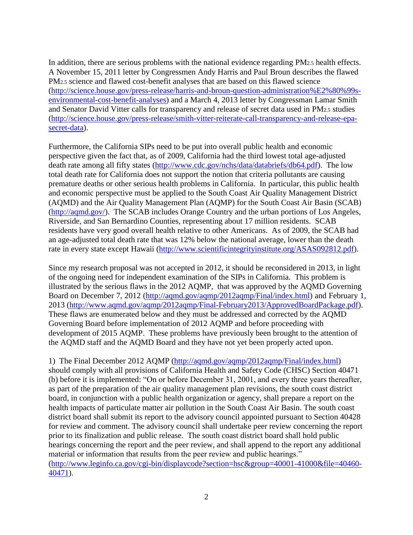In addition, there are serious problems with the national evidence regarding PM2.5 health effects. A November 15, 2011 letter by Congressmen Andy Harris and Paul Broun describes the flawed PM2.5 science and flawed cost-benefit analyses that are based on this flawed science [\(http://science.house.gov/press-release/harris-and-broun-question-administration%E2%80%99s](http://science.house.gov/press-release/harris-and-broun-question-administration%E2%80%99s-environmental-cost-benefit-analyses)[environmental-cost-benefit-analyses\)](http://science.house.gov/press-release/harris-and-broun-question-administration%E2%80%99s-environmental-cost-benefit-analyses) and a March 4, 2013 letter by Congressman Lamar Smith and Senator David Vitter calls for transparency and release of secret data used in PM2.5 studies [\(http://science.house.gov/press-release/smith-vitter-reiterate-call-transparency-and-release-epa](http://science.house.gov/press-release/smith-vitter-reiterate-call-transparency-and-release-epa-secret-data)[secret-data\)](http://science.house.gov/press-release/smith-vitter-reiterate-call-transparency-and-release-epa-secret-data).

Furthermore, the California SIPs need to be put into overall public health and economic perspective given the fact that, as of 2009, California had the third lowest total age-adjusted death rate among all fifty states [\(http://www.cdc.gov/nchs/data/databriefs/db64.pdf\)](http://www.cdc.gov/nchs/data/databriefs/db64.pdf). The low total death rate for California does not support the notion that criteria pollutants are causing premature deaths or other serious health problems in California. In particular, this public health and economic perspective must be applied to the South Coast Air Quality Management District (AQMD) and the Air Quality Management Plan (AQMP) for the South Coast Air Basin (SCAB) [\(http://aqmd.gov/\)](http://aqmd.gov/). The SCAB includes Orange Country and the urban portions of Los Angeles, Riverside, and San Bernardino Counties, representing about 17 million residents. SCAB residents have very good overall health relative to other Americans. As of 2009, the SCAB had an age-adjusted total death rate that was 12% below the national average, lower than the death rate in every state except Hawaii [\(http://www.scientificintegrityinstitute.org/ASAS092812.pdf\)](http://www.scientificintegrityinstitute.org/ASAS092812.pdf).

Since my research proposal was not accepted in 2012, it should be reconsidered in 2013, in light of the ongoing need for independent examination of the SIPs in California. This problem is illustrated by the serious flaws in the 2012 AQMP, that was approved by the AQMD Governing Board on December 7, 2012 [\(http://aqmd.gov/aqmp/2012aqmp/Final/index.html\)](http://aqmd.gov/aqmp/2012aqmp/Final/index.html) and February 1, 2013 [\(http://www.aqmd.gov/aqmp/2012aqmp/Final-February2013/ApprovedBoardPackage.pdf\)](http://www.aqmd.gov/aqmp/2012aqmp/Final-February2013/ApprovedBoardPackage.pdf). These flaws are enumerated below and they must be addressed and corrected by the AQMD Governing Board before implementation of 2012 AQMP and before proceeding with development of 2015 AQMP. These problems have previously been brought to the attention of the AQMD staff and the AQMD Board and they have not yet been properly acted upon.

1) The Final December 2012 AQMP [\(http://aqmd.gov/aqmp/2012aqmp/Final/index.html\)](http://aqmd.gov/aqmp/2012aqmp/Final/index.html) should comply with all provisions of California Health and Safety Code (CHSC) Section 40471 (b) before it is implemented: "On or before December 31, 2001, and every three years thereafter, as part of the preparation of the air quality management plan revisions, the south coast district board, in conjunction with a public health organization or agency, shall prepare a report on the health impacts of particulate matter air pollution in the South Coast Air Basin. The south coast district board shall submit its report to the advisory council appointed pursuant to Section 40428 for review and comment. The advisory council shall undertake peer review concerning the report prior to its finalization and public release. The south coast district board shall hold public hearings concerning the report and the peer review, and shall append to the report any additional material or information that results from the peer review and public hearings." [\(http://www.leginfo.ca.gov/cgi-bin/displaycode?section=hsc&group=40001-41000&file=40460-](http://www.leginfo.ca.gov/cgi-bin/displaycode?section=hsc&group=40001-41000&file=40460-40471) [40471\)](http://www.leginfo.ca.gov/cgi-bin/displaycode?section=hsc&group=40001-41000&file=40460-40471).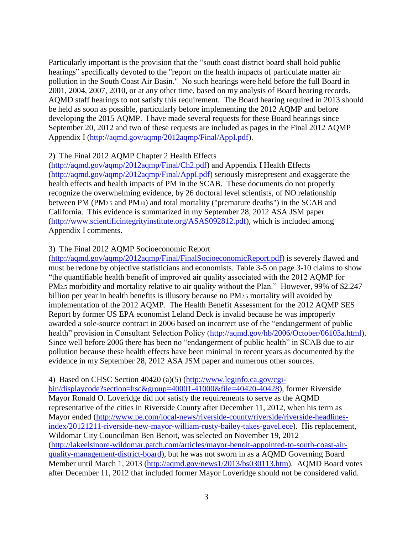Particularly important is the provision that the "south coast district board shall hold public hearings" specifically devoted to the "report on the health impacts of particulate matter air pollution in the South Coast Air Basin." No such hearings were held before the full Board in 2001, 2004, 2007, 2010, or at any other time, based on my analysis of Board hearing records. AQMD staff hearings to not satisfy this requirement. The Board hearing required in 2013 should be held as soon as possible, particularly before implementing the 2012 AQMP and before developing the 2015 AQMP. I have made several requests for these Board hearings since September 20, 2012 and two of these requests are included as pages in the Final 2012 AQMP Appendix I [\(http://aqmd.gov/aqmp/2012aqmp/Final/AppI.pdf\)](http://aqmd.gov/aqmp/2012aqmp/Final/AppI.pdf).

## 2) The Final 2012 AQMP Chapter 2 Health Effects

[\(http://aqmd.gov/aqmp/2012aqmp/Final/Ch2.pdf\)](http://aqmd.gov/aqmp/2012aqmp/Final/Ch2.pdf) and Appendix I Health Effects [\(http://aqmd.gov/aqmp/2012aqmp/Final/AppI.pdf\)](http://aqmd.gov/aqmp/2012aqmp/Final/AppI.pdf) seriously misrepresent and exaggerate the health effects and health impacts of PM in the SCAB. These documents do not properly recognize the overwhelming evidence, by 26 doctoral level scientists, of NO relationship between PM (PM2.5 and PM10) and total mortality ("premature deaths") in the SCAB and California. This evidence is summarized in my September 28, 2012 ASA JSM paper [\(http://www.scientificintegrityinstitute.org/ASAS092812.pdf\)](http://www.scientificintegrityinstitute.org/ASAS092812.pdf), which is included among Appendix I comments.

## 3) The Final 2012 AQMP Socioeconomic Report

[\(http://aqmd.gov/aqmp/2012aqmp/Final/FinalSocioeconomicReport.pdf\)](http://aqmd.gov/aqmp/2012aqmp/Final/FinalSocioeconomicReport.pdf) is severely flawed and must be redone by objective statisticians and economists. Table 3-5 on page 3-10 claims to show "the quantifiable health benefit of improved air quality associated with the 2012 AQMP for PM<sub>2.5</sub> morbidity and mortality relative to air quality without the Plan." However, 99% of \$2.247 billion per year in health benefits is illusory because no PM2.5 mortality will avoided by implementation of the 2012 AQMP. The Health Benefit Assessment for the 2012 AQMP SES Report by former US EPA economist Leland Deck is invalid because he was improperly awarded a sole-source contract in 2006 based on incorrect use of the "endangerment of public health" provision in Consultant Selection Policy [\(http://aqmd.gov/hb/2006/October/06103a.html\)](http://aqmd.gov/hb/2006/October/06103a.html). Since well before 2006 there has been no "endangerment of public health" in SCAB due to air pollution because these health effects have been minimal in recent years as documented by the evidence in my September 28, 2012 ASA JSM paper and numerous other sources.

## 4) Based on CHSC Section 40420 (a)(5) [\(http://www.leginfo.ca.gov/cgi-](http://www.leginfo.ca.gov/cgi-bin/displaycode?section=hsc&group=40001-41000&file=40420-40428)

[bin/displaycode?section=hsc&group=40001-41000&file=40420-40428\)](http://www.leginfo.ca.gov/cgi-bin/displaycode?section=hsc&group=40001-41000&file=40420-40428), former Riverside Mayor Ronald O. Loveridge did not satisfy the requirements to serve as the AQMD representative of the cities in Riverside County after December 11, 2012, when his term as Mayor ended [\(http://www.pe.com/local-news/riverside-county/riverside/riverside-headlines](http://www.pe.com/local-news/riverside-county/riverside/riverside-headlines-index/20121211-riverside-new-mayor-william-rusty-bailey-takes-gavel.ece)[index/20121211-riverside-new-mayor-william-rusty-bailey-takes-gavel.ece\)](http://www.pe.com/local-news/riverside-county/riverside/riverside-headlines-index/20121211-riverside-new-mayor-william-rusty-bailey-takes-gavel.ece). His replacement, Wildomar City Councilman Ben Benoit, was selected on November 19, 2012 [\(http://lakeelsinore-wildomar.patch.com/articles/mayor-benoit-appointed-to-south-coast-air](http://lakeelsinore-wildomar.patch.com/articles/mayor-benoit-appointed-to-south-coast-air-quality-management-district-board)[quality-management-district-board\)](http://lakeelsinore-wildomar.patch.com/articles/mayor-benoit-appointed-to-south-coast-air-quality-management-district-board), but he was not sworn in as a AQMD Governing Board Member until March 1, 2013 [\(http://aqmd.gov/news1/2013/bs030113.htm\)](http://aqmd.gov/news1/2013/bs030113.htm). AQMD Board votes after December 11, 2012 that included former Mayor Loveridge should not be considered valid.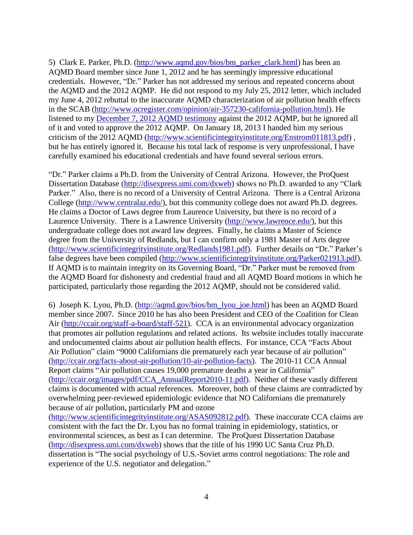5) Clark E. Parker, Ph.D. [\(http://www.aqmd.gov/bios/bm\\_parker\\_clark.html\)](http://www.aqmd.gov/bios/bm_parker_clark.html) has been an AQMD Board member since June 1, 2012 and he has seemingly impressive educational credentials. However, "Dr." Parker has not addressed my serious and repeated concerns about the AQMD and the 2012 AQMP. He did not respond to my July 25, 2012 letter, which included my June 4, 2012 rebuttal to the inaccurate AQMD characterization of air pollution health effects in the SCAB [\(http://www.ocregister.com/opinion/air-357230-california-pollution.html\)](http://www.ocregister.com/opinion/air-357230-california-pollution.html). He listened to my [December 7, 2012 AQMD testimony](http://scientificintegrityinstitute.org/Enstrom.MP3) against the 2012 AQMP, but he ignored all of it and voted to approve the 2012 AQMP. On January 18, 2013 I handed him my serious criticism of the 2012 AQMD [\(http://www.scientificintegrityinstitute.org/Enstrom011813.pdf\)](http://www.scientificintegrityinstitute.org/Enstrom011813.pdf) , but he has entirely ignored it. Because his total lack of response is very unprofessional, I have carefully examined his educational credentials and have found several serious errors.

"Dr." Parker claims a Ph.D. from the University of Central Arizona. However, the ProQuest Dissertation Database [\(http://disexpress.umi.com/dxweb\)](http://disexpress.umi.com/dxweb) shows no Ph.D. awarded to any "Clark" Parker." Also, there is no record of a University of Central Arizona. There is a Central Arizona College [\(http://www.centralaz.edu/\)](http://www.centralaz.edu/), but this community college does not award Ph.D. degrees. He claims a Doctor of Laws degree from Laurence University, but there is no record of a Laurence University. There is a Lawrence University [\(http://www.lawrence.edu/\)](http://www.lawrence.edu/), but this undergraduate college does not award law degrees. Finally, he claims a Master of Science degree from the University of Redlands, but I can confirm only a 1981 Master of Arts degree [\(http://www.scientificintegrityinstitute.org/Redlands1981.pdf\)](http://www.scientificintegrityinstitute.org/Redlands1981.pdf). Further details on "Dr." Parker's false degrees have been compiled [\(http://www.scientificintegrityinstitute.org/Parker021913.pdf\)](http://www.scientificintegrityinstitute.org/Parker021913.pdf). If AQMD is to maintain integrity on its Governing Board, "Dr." Parker must be removed from the AQMD Board for dishonesty and credential fraud and all AQMD Board motions in which he participated, particularly those regarding the 2012 AQMP, should not be considered valid.

6) Joseph K. Lyou, Ph.D. [\(http://aqmd.gov/bios/bm\\_lyou\\_joe.html\)](http://aqmd.gov/bios/bm_lyou_joe.html) has been an AQMD Board member since 2007. Since 2010 he has also been President and CEO of the Coalition for Clean Air [\(http://ccair.org/staff-a-board/staff-521\)](http://ccair.org/staff-a-board/staff-521). CCA is an environmental advocacy organization that promotes air pollution regulations and related actions. Its website includes totally inaccurate and undocumented claims about air pollution health effects. For instance, CCA "Facts About Air Pollution" claim "9000 Californians die prematurely each year because of air pollution" [\(http://ccair.org/facts-about-air-pollution/10-air-pollution-facts\)](http://ccair.org/facts-about-air-pollution/10-air-pollution-facts). The 2010-11 CCA Annual Report claims "Air pollution causes 19,000 premature deaths a year in California" [\(http://ccair.org/images/pdf/CCA\\_AnnualReport2010-11.pdf\)](http://ccair.org/images/pdf/CCA_AnnualReport2010-11.pdf). Neither of these vastly different claims is documented with actual references. Moreover, both of these claims are contradicted by overwhelming peer-reviewed epidemiologic evidence that NO Californians die prematurely because of air pollution, particularly PM and ozone

[\(http://www.scientificintegrityinstitute.org/ASAS092812.pdf\)](http://www.scientificintegrityinstitute.org/ASAS092812.pdf). These inaccurate CCA claims are consistent with the fact the Dr. Lyou has no formal training in epidemiology, statistics, or environmental sciences, as best as I can determine. The ProQuest Dissertation Database [\(http://disexpress.umi.com/dxweb\)](http://disexpress.umi.com/dxweb) shows that the title of his 1990 UC Santa Cruz Ph.D. dissertation is "The social psychology of U.S.-Soviet arms control negotiations: The role and experience of the U.S. negotiator and delegation."